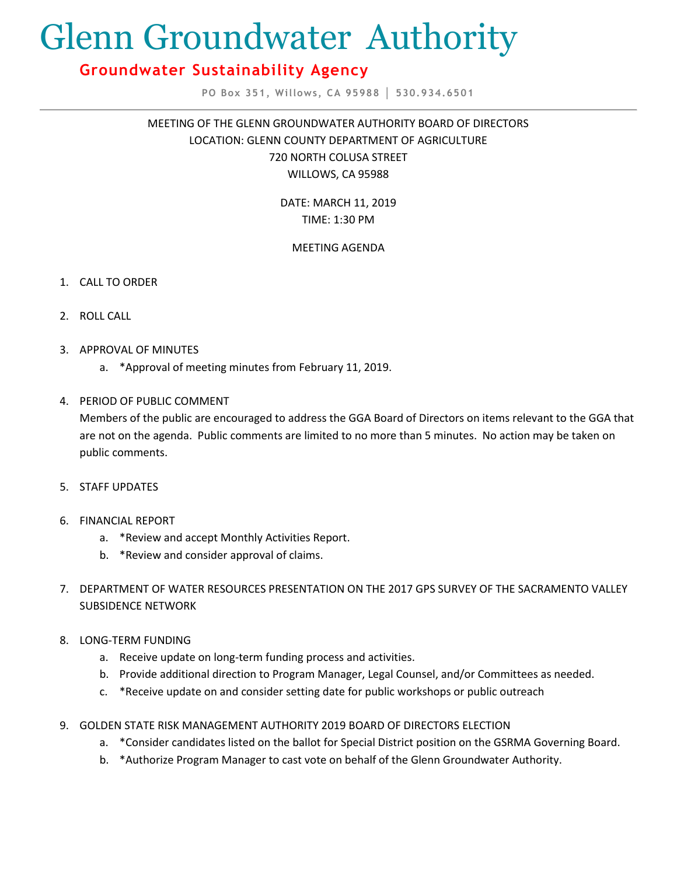# Glenn Groundwater Authority

# **Groundwater Sustainability Agency**

**PO Box 351, Willows, CA 95988 │ 530.934.6501**

MEETING OF THE GLENN GROUNDWATER AUTHORITY BOARD OF DIRECTORS LOCATION: GLENN COUNTY DEPARTMENT OF AGRICULTURE 720 NORTH COLUSA STREET WILLOWS, CA 95988

> DATE: MARCH 11, 2019 TIME: 1:30 PM

## MEETING AGENDA

- 1. CALL TO ORDER
- 2. ROLL CALL
- 3. APPROVAL OF MINUTES
	- a. \*Approval of meeting minutes from February 11, 2019.
- 4. PERIOD OF PUBLIC COMMENT

Members of the public are encouraged to address the GGA Board of Directors on items relevant to the GGA that are not on the agenda. Public comments are limited to no more than 5 minutes. No action may be taken on public comments.

- 5. STAFF UPDATES
- 6. FINANCIAL REPORT
	- a. \*Review and accept Monthly Activities Report.
	- b. \*Review and consider approval of claims.
- 7. DEPARTMENT OF WATER RESOURCES PRESENTATION ON THE 2017 GPS SURVEY OF THE SACRAMENTO VALLEY SUBSIDENCE NETWORK
- 8. LONG-TERM FUNDING
	- a. Receive update on long-term funding process and activities.
	- b. Provide additional direction to Program Manager, Legal Counsel, and/or Committees as needed.
	- c. \*Receive update on and consider setting date for public workshops or public outreach
- 9. GOLDEN STATE RISK MANAGEMENT AUTHORITY 2019 BOARD OF DIRECTORS ELECTION
	- a. \*Consider candidates listed on the ballot for Special District position on the GSRMA Governing Board.
	- b. \*Authorize Program Manager to cast vote on behalf of the Glenn Groundwater Authority.